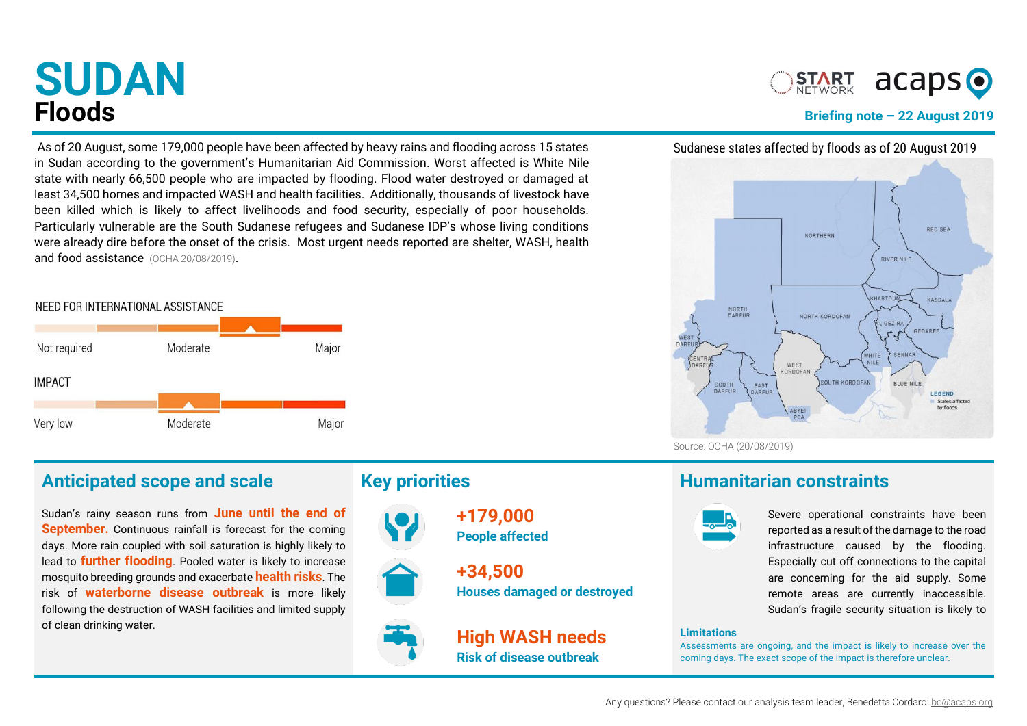# **SUDAN**<br>Floods

As of 20 August, some 179,000 people have been affected by heavy rains and flooding across 15 states in Sudan according to the government's Humanitarian Aid Commission. Worst affected is White Nile state with nearly 66,500 people who are impacted by flooding. Flood water destroyed or damaged at least 34,500 homes and impacted WASH and health facilities. Additionally, thousands of livestock have been killed which is likely to affect livelihoods and food security, especially of poor households. Particularly vulnerable are the South Sudanese refugees and Sudanese IDP's whose living conditions were already dire before the onset of the crisis. Most urgent needs reported are shelter, WASH, health and food assistance [\(OCHA 20/08/2019\)](https://reliefweb.int/sites/reliefweb.int/files/resources/Situation%20Report%20-%20Sudan%20-%2020%20Aug%202019.pdf).



# Anticipated scope and scale **Key priorities Humanitarian constraints**

Sudan's rainy season runs from **June until the end of September.** Continuous rainfall is forecast for the coming days. More rain coupled with soil saturation is highly likely to lead to **further flooding**. Pooled water is likely to increase mosquito breeding grounds and exacerbate **health risks**. The risk of **waterborne disease outbreak** is more likely following the destruction of WASH facilities and limited supply of clean drinking water.



**+179,000 People affected** 

**+34,500 Houses damaged or destroyed**

### **High WASH needs Risk of disease outbreak**



## **Floods Briefing note – <sup>22</sup> August 2019**



[Source: OCHA \(20/08/2019\)](https://reliefweb.int/sites/reliefweb.int/files/resources/Situation%20Report%20-%20Sudan%20-%2020%20Aug%202019.pdf)



Severe operational constraints have been reported as a result of the damage to the road infrastructure caused by the flooding. Especially cut off connections to the capital are concerning for the aid supply. Some remote areas are currently inaccessible. Sudan's fragile security situation is likely to

#### **Limitations**

Assessments are ongoing, and the impact is likely to increase over the coming days. The exact scope of the impact is therefore unclear.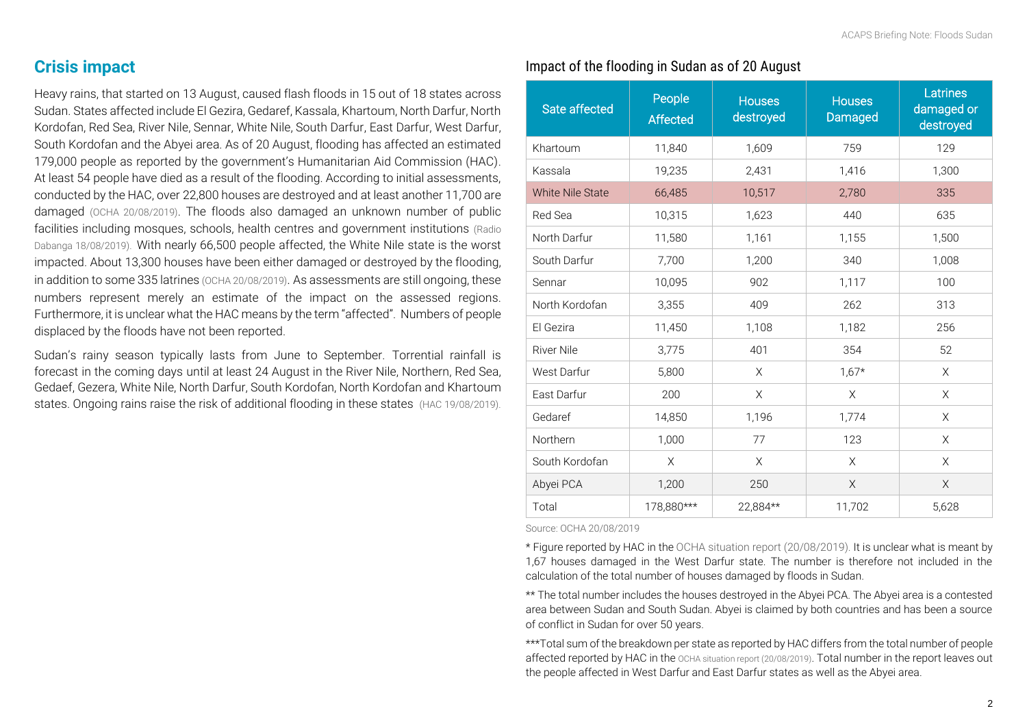# **Crisis impact**

Heavy rains, that started on 13 August, caused flash floods in 15 out of 18 states across Sudan. States affected include El Gezira, Gedaref, Kassala, Khartoum, North Darfur, North Kordofan, Red Sea, River Nile, Sennar, White Nile, South Darfur, East Darfur, West Darfur, South Kordofan and the Abyei area. As of 20 August, flooding has affected an estimated 179,000 people as reported by the government's Humanitarian Aid Commission (HAC). At least 54 people have died as a result of the flooding. According to initial assessments, conducted by the HAC, over 22,800 houses are destroyed and at least another 11,700 are damaged [\(OCHA 20/08/2019\)](https://reliefweb.int/sites/reliefweb.int/files/resources/Situation%20Report%20-%20Sudan%20-%2020%20Aug%202019.pdf). The floods also damaged an unknown number of public facilities including mosques, schools, health centres and government institutions [\(Radio](https://reliefweb.int/report/sudan/sudan-health-ministry-rains-leave-46-people-dead)  [Dabanga 18/08/2019\).](https://reliefweb.int/report/sudan/sudan-health-ministry-rains-leave-46-people-dead) With nearly 66,500 people affected, the White Nile state is the worst impacted. About 13,300 houses have been either damaged or destroyed by the flooding, in addition to some 335 latrines [\(OCHA 20/08/2019\)](https://reliefweb.int/sites/reliefweb.int/files/resources/Situation%20Report%20-%20Sudan%20-%2020%20Aug%202019.pdf). As assessments are still ongoing, these numbers represent merely an estimate of the impact on the assessed regions. Furthermore, it is unclear what the HAC means by the term "affected". Numbers of people displaced by the floods have not been reported.

Sudan's rainy season typically lasts from June to September. Torrential rainfall is forecast in the coming days until at least 24 August in the River Nile, Northern, Red Sea, Gedaef, Gezera, White Nile, North Darfur, South Kordofan, North Kordofan and Khartoum states. Ongoing rains raise the risk of additional flooding in these states [\(HAC 19/08/2019\).](https://reliefweb.int/sites/reliefweb.int/files/resources/20190819_hac_flood_watch_update.pdf)

# Impact of the flooding in Sudan as of 20 August

| Sate affected           | People<br><b>Affected</b> | <b>Houses</b><br>destroyed | <b>Houses</b><br><b>Damaged</b> | Latrines<br>damaged or<br>destroyed |
|-------------------------|---------------------------|----------------------------|---------------------------------|-------------------------------------|
| Khartoum                | 11,840                    | 1,609                      | 759                             | 129                                 |
| Kassala                 | 19,235                    | 2,431                      | 1,416                           | 1,300                               |
| <b>White Nile State</b> | 66,485                    | 10,517                     | 2,780                           | 335                                 |
| Red Sea                 | 10,315                    | 1,623                      | 440                             | 635                                 |
| North Darfur            | 11,580                    | 1,161                      | 1,155                           | 1,500                               |
| South Darfur            | 7,700                     | 1,200                      | 340                             | 1,008                               |
| Sennar                  | 10,095                    | 902                        | 1,117                           | 100                                 |
| North Kordofan          | 3,355                     | 409                        | 262                             | 313                                 |
| El Gezira               | 11,450                    | 1,108                      | 1,182                           | 256                                 |
| <b>River Nile</b>       | 3,775                     | 401                        | 354                             | 52                                  |
| West Darfur             | 5,800                     | X                          | $1,67*$                         | X                                   |
| East Darfur             | 200                       | X                          | X                               | X                                   |
| Gedaref                 | 14,850                    | 1,196                      | 1,774                           | X                                   |
| Northern                | 1,000                     | 77                         | 123                             | X                                   |
| South Kordofan          | X                         | X                          | X                               | X                                   |
| Abyei PCA               | 1,200                     | 250                        | X                               | $\times$                            |
| Total                   | 178,880***                | 22,884**                   | 11,702                          | 5,628                               |

Source[: OCHA 20/08/2019](https://reliefweb.int/sites/reliefweb.int/files/resources/Situation%20Report%20-%20Sudan%20-%2020%20Aug%202019.pdf)

\* Figure reported by HAC in the [OCHA situation report](https://reliefweb.int/sites/reliefweb.int/files/resources/Situation%20Report%20-%20Sudan%20-%2020%20Aug%202019.pdf) (20/08/2019). It is unclear what is meant by 1,67 houses damaged in the West Darfur state. The number is therefore not included in the calculation of the total number of houses damaged by floods in Sudan.

\*\* The total number includes the houses destroyed in the Abyei PCA. The Abyei area is a contested area between Sudan and South Sudan. Abyei is claimed by both countries and has been a source of conflict in Sudan for over 50 years.

\*\*\*Total sum of the breakdown per state as reported by HAC differs from the total number of people affected reported by HAC in the [OCHA situation report \(20/08/2019\)](https://reliefweb.int/sites/reliefweb.int/files/resources/Situation%20Report%20-%20Sudan%20-%2020%20Aug%202019.pdf). Total number in the report leaves out the people affected in West Darfur and East Darfur states as well as the Abyei area.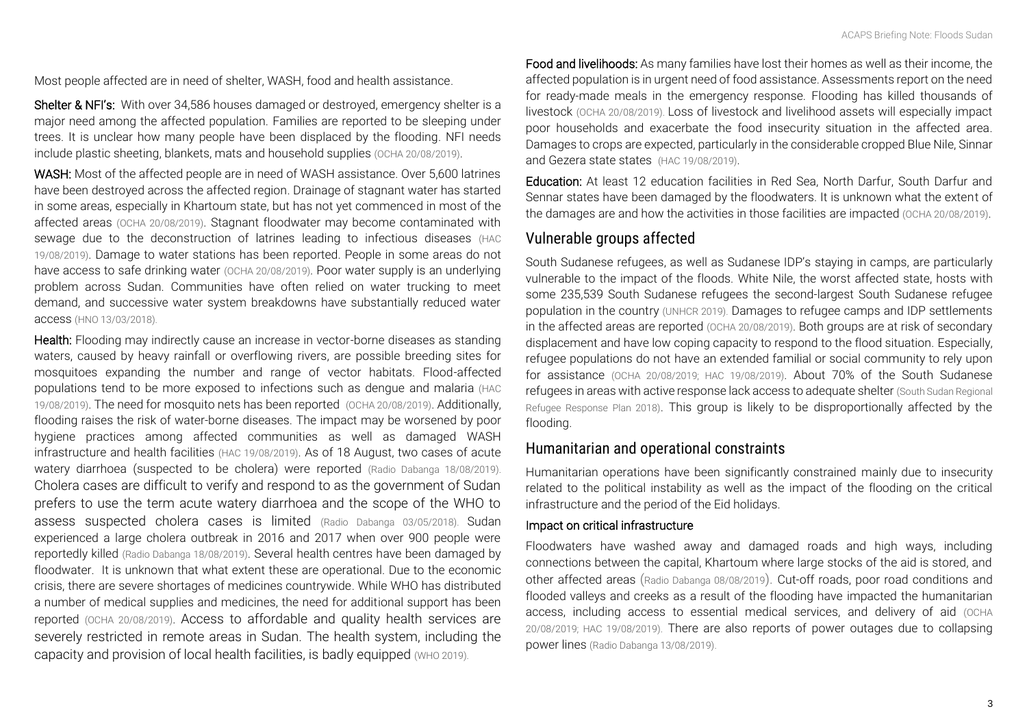Most people affected are in need of shelter, WASH, food and health assistance.

Shelter & NFI's: With over 34,586 houses damaged or destroved, emergency shelter is a major need among the affected population. Families are reported to be sleeping under trees. It is unclear how many people have been displaced by the flooding. NFI needs include plastic sheeting, blankets, mats and household supplies [\(OCHA 20/08/2019\)](https://reliefweb.int/sites/reliefweb.int/files/resources/Situation%20Report%20-%20Sudan%20-%2020%20Aug%202019.pdf).

WASH: Most of the affected people are in need of WASH assistance. Over 5,600 latrines have been destroyed across the affected region. Drainage of stagnant water has started in some areas, especially in Khartoum state, but has not yet commenced in most of the affected areas [\(OCHA 20/08/2019\)](https://reliefweb.int/sites/reliefweb.int/files/resources/Situation%20Report%20-%20Sudan%20-%2020%20Aug%202019.pdf). Stagnant floodwater may become contaminated with sewage due to the deconstruction of latrines leading to infectious diseases [\(HAC](https://reliefweb.int/sites/reliefweb.int/files/resources/20190819_hac_flood_watch_update.pdf)  [19/08/2019\)](https://reliefweb.int/sites/reliefweb.int/files/resources/20190819_hac_flood_watch_update.pdf). Damage to water stations has been reported. People in some areas do not have access to safe drinking water [\(OCHA 20/08/2019\)](https://reliefweb.int/sites/reliefweb.int/files/resources/Situation%20Report%20-%20Sudan%20-%2020%20Aug%202019.pdf). Poor water supply is an underlying problem across Sudan. Communities have often relied on water trucking to meet demand, and successive water system breakdowns have substantially reduced water access [\(HNO 13/03/2018\).](https://reliefweb.int/sites/reliefweb.int/files/resources/Sudan_2018_Humanitarian_Needs_Overview.pdf)

Health: Flooding may indirectly cause an increase in vector-borne diseases as standing waters, caused by heavy rainfall or overflowing rivers, are possible breeding sites for mosquitoes expanding the number and range of vector habitats. Flood-affected populations tend to be more exposed to infections such as dengue and malaria [\(HAC](https://reliefweb.int/sites/reliefweb.int/files/resources/20190819_hac_flood_watch_update.pdf)  [19/08/2019\)](https://reliefweb.int/sites/reliefweb.int/files/resources/20190819_hac_flood_watch_update.pdf). The need for mosquito nets has been reported [\(OCHA 20/08/2019\)](https://reliefweb.int/sites/reliefweb.int/files/resources/Situation%20Report%20-%20Sudan%20-%2020%20Aug%202019.pdf). Additionally, flooding raises the risk of water-borne diseases. The impact may be worsened by poor hygiene practices among affected communities as well as damaged WASH infrastructure and health facilities [\(HAC 19/08/2019\)](https://reliefweb.int/sites/reliefweb.int/files/resources/20190819_hac_flood_watch_update.pdf). As of 18 August, two cases of acute watery diarrhoea (suspected to be cholera) were reported [\(Radio Dabanga 18/08/2019\).](https://reliefweb.int/report/sudan/sudan-health-ministry-rains-leave-46-people-dead) Cholera cases are difficult to verify and respond to as the government of Sudan prefers to use the term acute watery diarrhoea and the scope of the WHO to assess suspected cholera cases is limited [\(Radio Dabanga 03/05/2018\).](https://reliefweb.int/report/sudan/acute-watery-diarrhoea-dengue-fever-reported-after-rains-sudan-s-blue-nile-red-sea) Sudan experienced a large cholera outbreak in 2016 and 2017 when over 900 people were reportedly killed [\(Radio Dabanga 18/08/2019\)](https://reliefweb.int/report/sudan/sudan-health-ministry-rains-leave-46-people-dead). Several health centres have been damaged by floodwater. It is unknown that what extent these are operational. Due to the economic crisis, there are severe shortages of medicines countrywide. While WHO has distributed a number of medical supplies and medicines, the need for additional support has been reported [\(OCHA 20/08/2019\)](https://reliefweb.int/sites/reliefweb.int/files/resources/Situation%20Report%20-%20Sudan%20-%2020%20Aug%202019.pdf). Access to affordable and quality health services are severely restricted in remote areas in Sudan. The health system, including the capacity and provision of local health facilities, is badly equipped [\(WHO 2019\).](https://www.who.int/workforcealliance/countries/sdn/en/)

Food and livelihoods: As many families have lost their homes as well as their income, the affected population is in urgent need of food assistance. Assessments report on the need for ready-made meals in the emergency response. Flooding has killed thousands of livestock [\(OCHA 20/08/2019\).](https://reliefweb.int/sites/reliefweb.int/files/resources/Situation%20Report%20-%20Sudan%20-%2020%20Aug%202019.pdf) Loss of livestock and livelihood assets will especially impact poor households and exacerbate the food insecurity situation in the affected area. Damages to crops are expected, particularly in the considerable cropped Blue Nile, Sinnar and Gezera state states [\(HAC 19/08/2019\)](https://reliefweb.int/sites/reliefweb.int/files/resources/20190819_hac_flood_watch_update.pdf).

Education: At least 12 education facilities in Red Sea, North Darfur, South Darfur and Sennar states have been damaged by the floodwaters. It is unknown what the extent of the damages are and how the activities in those facilities are impacted [\(OCHA 20/08/2019\)](https://reliefweb.int/sites/reliefweb.int/files/resources/Situation%20Report%20-%20Sudan%20-%2020%20Aug%202019.pdf).

#### Vulnerable groups affected

South Sudanese refugees, as well as Sudanese IDP's staying in camps, are particularly vulnerable to the impact of the floods. White Nile, the worst affected state, hosts with some 235,539 South Sudanese refugees the second-largest South Sudanese refugee population in the country [\(UNHCR 2019\)](https://data2.unhcr.org/en/situations/southsudan/location/1904). Damages to refugee camps and IDP settlements in the affected areas are reported [\(OCHA 20/08/2019\)](https://reliefweb.int/sites/reliefweb.int/files/resources/Situation%20Report%20-%20Sudan%20-%2020%20Aug%202019.pdf). Both groups are at risk of secondary displacement and have low coping capacity to respond to the flood situation. Especially, refugee populations do not have an extended familial or social community to rely upon for assistance [\(OCHA 20/08/2019;](https://reliefweb.int/sites/reliefweb.int/files/resources/Situation%20Report%20-%20Sudan%20-%2020%20Aug%202019.pdf) [HAC 19/08/2019\)](https://reliefweb.int/sites/reliefweb.int/files/resources/20190819_hac_flood_watch_update.pdf). About 70% of the South Sudanese refugees in areas with active response lack access to adequate shelter [\(South Sudan Regional](https://www.acaps.org/sites/acaps/files/key-documents/files/sudan_south_sudanese_response.pdf)  [Refugee Response Plan 2018\)](https://www.acaps.org/sites/acaps/files/key-documents/files/sudan_south_sudanese_response.pdf). This group is likely to be disproportionally affected by the flooding.

#### Humanitarian and operational constraints

Humanitarian operations have been significantly constrained mainly due to insecurity related to the political instability as well as the impact of the flooding on the critical infrastructure and the period of the Eid holidays.

#### Impact on critical infrastructure

Floodwaters have washed away and damaged roads and high ways, including connections between the capital, Khartoum where large stocks of the aid is stored, and other affected areas ([Radio Dabanga 08/08/2019](https://reliefweb.int/report/sudan/two-young-women-die-sudan-floods)). Cut-off roads, poor road conditions and flooded valleys and creeks as a result of the flooding have impacted the humanitarian access, including access to essential medical services, and delivery of aid [\(OCHA](https://reliefweb.int/sites/reliefweb.int/files/resources/Situation%20Report%20-%20Sudan%20-%2020%20Aug%202019.pdf)  [20/08/2019;](https://reliefweb.int/sites/reliefweb.int/files/resources/Situation%20Report%20-%20Sudan%20-%2020%20Aug%202019.pdf) [HAC 19/08/2019\).](https://reliefweb.int/sites/reliefweb.int/files/resources/20190819_hac_flood_watch_update.pdf) There are also reports of power outages due to collapsing power lines [\(Radio Dabanga 13/08/2019\).](https://reliefweb.int/report/sudan/floods-across-darfur-sudan-cause-devastation-price-hikes)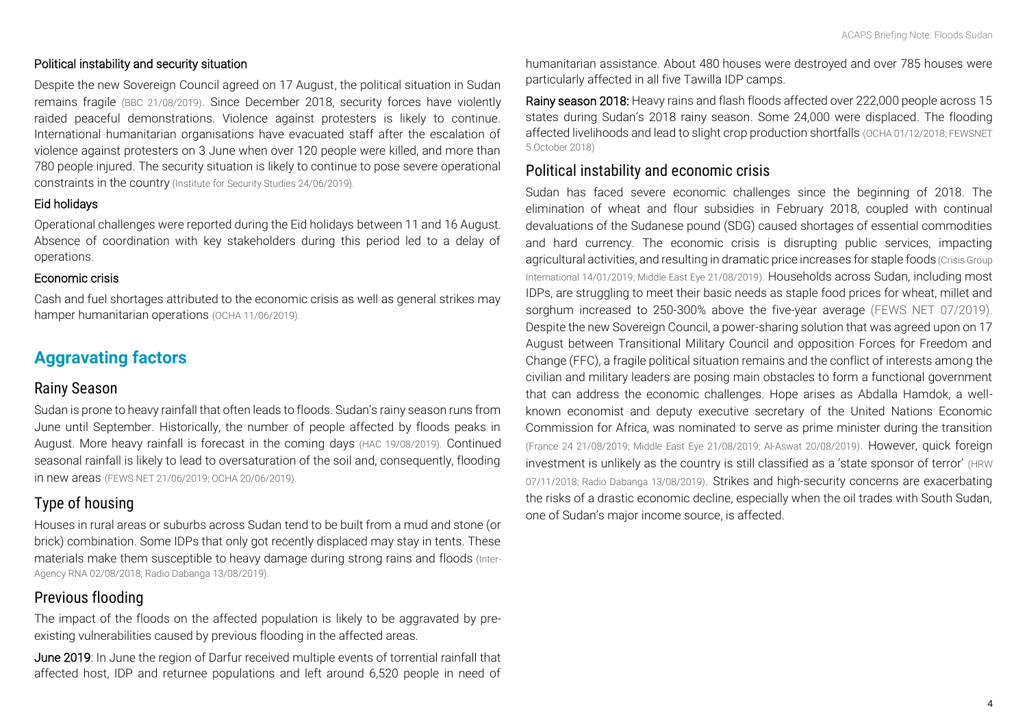#### Political instability and security situation

Despite the new Sovereign Council agreed on 17 August, the political situation in Sudan remains fragile [\(BBC 21/08/2019\)](https://www.bbc.com/news/world-africa-49414216). Since December 2018, security forces have violently raided peaceful demonstrations. Violence against protesters is likely to continue. International humanitarian organisations have evacuated staff after the escalation of violence against protesters on 3 June when over 120 people were killed, and more than 780 people injured. The security situation is likely to continue to pose severe operational constraints in the country [\(Institute for Security Studies 24/06/2019\).](https://issafrica.org/iss-today/is-sudan-ready-for-unamids-exit?utm_source=BenchmarkEmail&utm_campaign=ISS_Today&utm_medium=email)

#### Eid holidays

Operational challenges were reported during the Eid holidays between 11 and 16 August. Absence of coordination with key stakeholders during this period led to a delay of operations.

#### Economic crisis

Cash and fuel shortages attributed to the economic crisis as well as general strikes may hamper humanitarian operations [\(OCHA 11/06/2019\).](https://reliefweb.int/sites/reliefweb.int/files/resources/190611_Sudan_Flash_Update_5.pdf)

# **Aggravating factors**

# Rainy Season

Sudan is prone to heavy rainfall that often leads to floods. Sudan's rainy season runs from June until September. Historically, the number of people affected by floods peaks in August. More heavy rainfall is forecast in the coming days [\(HAC 19/08/2019\).](https://reliefweb.int/sites/reliefweb.int/files/resources/20190819_hac_flood_watch_update.pdf) Continued seasonal rainfall is likely to lead to oversaturation of the soil and, consequently, flooding in new areas [\(FEWS NET 21/06/2019;](https://reliefweb.int/sites/reliefweb.int/files/resources/GlobalWeatherHazard-19.06.20.pdf) [OCHA 20/06/2019\).](https://reliefweb.int/sites/reliefweb.int/files/resources/190620_Sudan_Flash_Update-8.pdf)

# Type of housing

Houses in rural areas or suburbs across Sudan tend to be built from a mud and stone (or brick) combination. Some IDPs that only got recently displaced may stay in tents. These materials make them susceptible to heavy damage during strong rains and floods [\(Inter-](https://start-network.app.box.com/s/qx1stgt1oi3w1ls63c9px7afkejtbkh4/file/311367180209)[Agency RNA 02/08/2018;](https://start-network.app.box.com/s/qx1stgt1oi3w1ls63c9px7afkejtbkh4/file/311367180209) [Radio Dabanga 13/08/2019\).](https://reliefweb.int/report/sudan/floods-across-darfur-sudan-cause-devastation-price-hikes)

# Previous flooding

The impact of the floods on the affected population is likely to be aggravated by preexisting vulnerabilities caused by previous flooding in the affected areas.

June 2019: In June the region of Darfur received multiple events of torrential rainfall that affected host, IDP and returnee populations and left around 6,520 people in need of

humanitarian assistance. About 480 houses were destroyed and over 785 houses were particularly affected in all five Tawilla IDP camps.

Rainy season 2018: Heavy rains and flash floods affected over 222,000 people across 15 states during Sudan's 2018 rainy season. Some 24,000 were displaced. The flooding affected livelihoods and lead to slight crop production shortfalls [\(OCHA 01/12/2018;](https://reliefweb.int/sites/reliefweb.int/files/resources/Sudan_Humanitarian_Snapshot_A4_1_Dec_2018.pdf) FEWSNET [5 October 2018\)](https://reliefweb.int/report/sudan/east-africa-seasonal-monitor-october-5-2018)

# Political instability and economic crisis

Sudan has faced severe economic challenges since the beginning of 2018. The elimination of wheat and flour subsidies in February 2018, coupled with continual devaluations of the Sudanese pound (SDG) caused shortages of essential commodities and hard currency. The economic crisis is disrupting public services, impacting agricultural activities, and resulting in dramatic price increases for staple foods (Crisis Group [International 14/01/2019;](https://reliefweb.int/sites/reliefweb.int/files/resources/b143-improving-prospects.pdf) [Middle East Eye 21/08/2019\)](https://www.middleeasteye.net/news/sudanese-opposition-name-first-civilian-prime-minister-30-years). Households across Sudan, including most IDPs, are struggling to meet their basic needs as staple food prices for wheat, millet and sorghum increased to 250-300% above the five-year average [\(FEWS NET 07/2019\).](http://fews.net/east-africa/sudan)  Despite the new Sovereign Council, a power-sharing solution that was agreed upon on 17 August between Transitional Military Council and opposition Forces for Freedom and Change (FFC), a fragile political situation remains and the conflict of interests among the civilian and military leaders are posing main obstacles to form a functional government that can address the economic challenges. Hope arises as Abdalla Hamdok, a wellknown economist and deputy executive secretary of the United Nations Economic Commission for Africa, was nominated to serve as prime minister during the transition [\(France 24 21/08/2019;](https://www.france24.com/en/20190821-sudan-transition-joint-military-opposition-rule-omar-al-bashir) [Middle East Eye 21/08/2019;](https://www.middleeasteye.net/news/sudanese-opposition-name-first-civilian-prime-minister-30-years) [Al-Aswat 20/08/2019\)](https://aawsat.com/english/home/article/1864686/sudanese-aspire-exiting-economic-despair). However, quick foreign investment is unlikely as the country is still classified as a 'state sponsor of terror' (HRW [07/11/2018;](https://www.hrw.org/news/2018/11/07/us-considers-lifting-sudans-terror-state-designation) [Radio Dabanga 13/08/2019\)](https://www.dabangasudan.org/en/all-news/article/economists-removal-from-state-sponsors-of-terrorism-list-essential-to-sudan-s-recovery?utm_source=Media+Review+for+August+14%2C+2019&utm_campaign=Media+Review+for+August+14%2C+2019&utm_medium=email). Strikes and high-security concerns are exacerbating the risks of a drastic economic decline, especially when the oil trades with South Sudan, one of Sudan's major income source, is affected.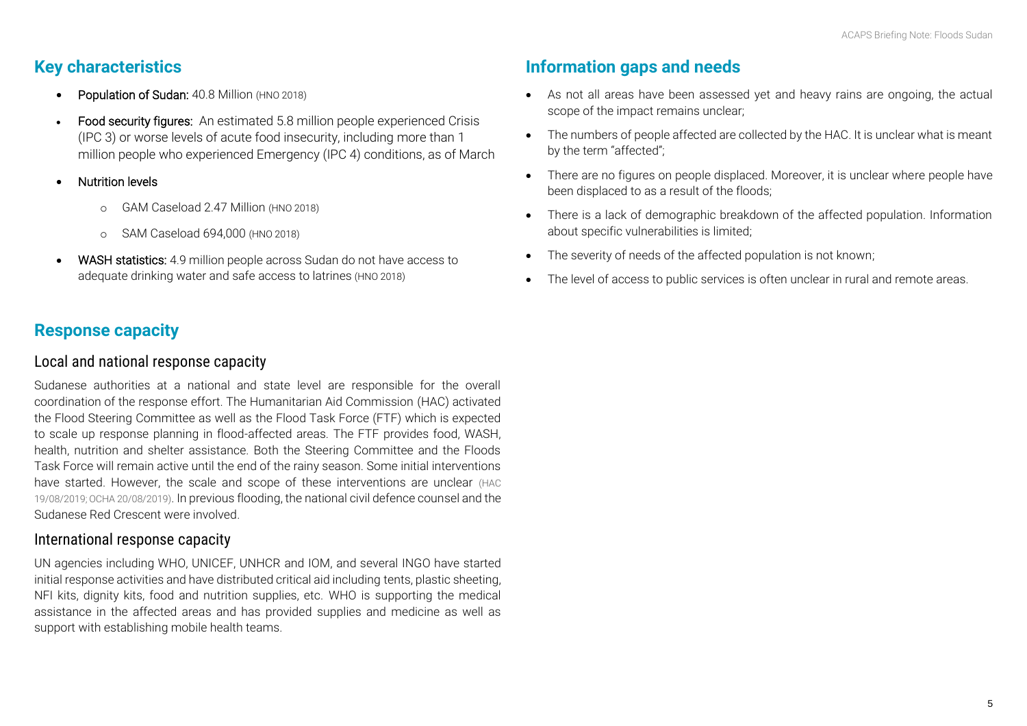# **Key characteristics**

- Population of Sudan: 40.8 Million [\(HNO 2018\)](https://reliefweb.int/sites/reliefweb.int/files/resources/Sudan_2018_Humanitarian_Needs_Overview.pdf)
- Food security figures: An estimated 5.8 million people experienced Crisis (IPC 3) or worse levels of acute food insecurity, including more than 1 million people who experienced Emergency (IPC 4) conditions, as of March
- Nutrition levels
	- o GAM Caseload 2.47 Million [\(HNO 2018\)](https://reliefweb.int/sites/reliefweb.int/files/resources/Sudan_2018_Humanitarian_Needs_Overview.pdf)
	- o SAM Caseload 694,000 [\(HNO 2018\)](https://reliefweb.int/sites/reliefweb.int/files/resources/Sudan_2018_Humanitarian_Needs_Overview.pdf)
- WASH statistics: 4.9 million people across Sudan do not have access to adequate drinking water and safe access to latrines [\(HNO 2018\)](https://reliefweb.int/sites/reliefweb.int/files/resources/Sudan_2018_Humanitarian_Needs_Overview.pdf)

# **Response capacity**

# Local and national response capacity

Sudanese authorities at a national and state level are responsible for the overall coordination of the response effort. The Humanitarian Aid Commission (HAC) activated the Flood Steering Committee as well as the Flood Task Force (FTF) which is expected to scale up response planning in flood-affected areas. The FTF provides food, WASH, health, nutrition and shelter assistance. Both the Steering Committee and the Floods Task Force will remain active until the end of the rainy season. Some initial interventions have started. However, the scale and scope of these interventions are unclear (HAC [19/08/2019;](https://reliefweb.int/sites/reliefweb.int/files/resources/20190819_hac_flood_watch_update.pdf) [OCHA 20/08/2019\)](https://reliefweb.int/sites/reliefweb.int/files/resources/Situation%20Report%20-%20Sudan%20-%2020%20Aug%202019.pdf). In previous flooding, the national civil defence counsel and the Sudanese Red Crescent were involved.

# International response capacity

UN agencies including WHO, UNICEF, UNHCR and IOM, and several INGO have started initial response activities and have distributed critical aid including tents, plastic sheeting, NFI kits, dignity kits, food and nutrition supplies, etc. WHO is supporting the medical assistance in the affected areas and has provided supplies and medicine as well as support with establishing mobile health teams.

# **Information gaps and needs**

- As not all areas have been assessed yet and heavy rains are ongoing, the actual scope of the impact remains unclear;
- The numbers of people affected are collected by the HAC. It is unclear what is meant by the term "affected";
- There are no figures on people displaced. Moreover, it is unclear where people have been displaced to as a result of the floods;
- There is a lack of demographic breakdown of the affected population. Information about specific vulnerabilities is limited;
- The severity of needs of the affected population is not known;
- The level of access to public services is often unclear in rural and remote areas.